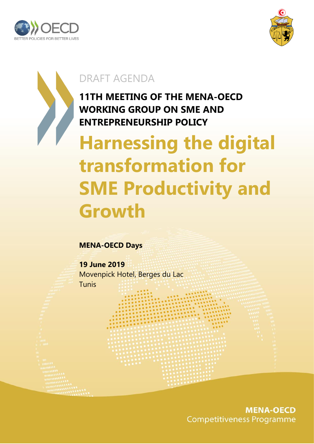



## DRAFT AGENDA

**11TH MEETING OF THE MENA-OECD WORKING GROUP ON SME AND ENTREPRENEURSHIP POLICY**

# **Harnessing the digital transformation for SME Productivity and Growth**

### **MENA-OECD Days**

**19 June 2019** Movenpick Hotel, Berges du Lac Tunis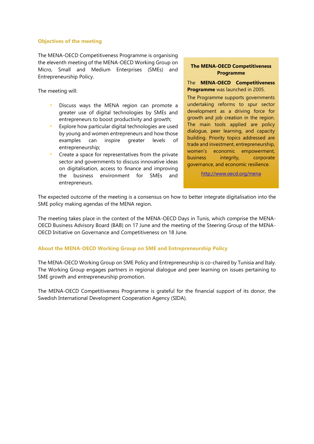#### **Objectives of the meeting**

The MENA-OECD Competitiveness Programme is organising the eleventh meeting of the MENA-OECD Working Group on Micro, Small and Medium Enterprises (SMEs) and Entrepreneurship Policy.

The meeting will:

- Discuss ways the MENA region can promote a greater use of digital technologies by SMEs and entrepreneurs to boost productivity and growth;
- Explore how particular digital technologies are used by young and women entrepreneurs and how those examples can inspire greater levels of entrepreneurship;
- Create a space for representatives from the private sector and governments to discuss innovative ideas on digitalisation, access to finance and improving the business environment for SMEs and entrepreneurs.

#### **The MENA-OECD Competitiveness Programme**

The **MENA-OECD Competitiveness Programme** was launched in 2005.

The Programme supports governments undertaking reforms to spur sector development as a driving force for growth and job creation in the region. The main tools applied are policy dialogue, peer learning, and capacity building. Priority topics addressed are trade and investment, entrepreneurship, women's economic empowerment, business integrity, corporate governance, and economic resilience.

<http://www.oecd.org/mena>

The expected outcome of the meeting is a consensus on how to better integrate digitalisation into the SME policy making agendas of the MENA region.

The meeting takes place in the context of the MENA-OECD Days in Tunis, which comprise the MENA-OECD Business Advisory Board (BAB) on 17 June and the meeting of the Steering Group of the MENA-OECD Initiative on Governance and Competitiveness on 18 June.

#### **About the MENA-OECD Working Group on SME and Entrepreneurship Policy**

The MENA-OECD Working Group on SME Policy and Entrepreneurship is co-chaired by Tunisia and Italy. The Working Group engages partners in regional dialogue and peer learning on issues pertaining to SME growth and entrepreneurship promotion.

The MENA-OECD Competitiveness Programme is grateful for the financial support of its donor, the Swedish International Development Cooperation Agency (SIDA).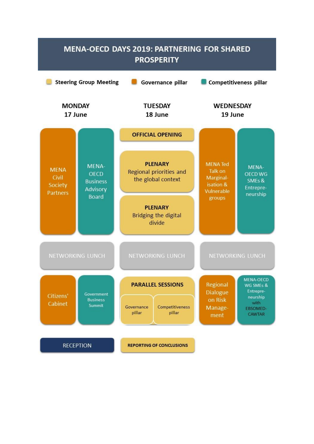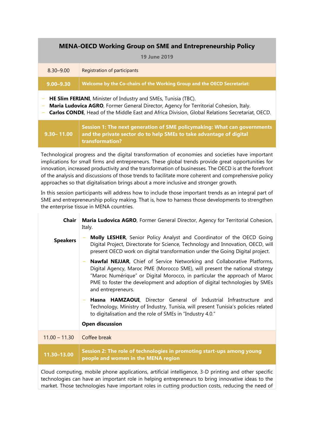#### **MENA-OECD Working Group on SME and Entrepreneurship Policy**

| <b>19 June 2019</b> |                                                                         |  |
|---------------------|-------------------------------------------------------------------------|--|
| $8.30 - 9.00$       | Registration of participants                                            |  |
| $9.00 - 9.30$       | Welcome by the Co-chairs of the Working Group and the OECD Secretariat: |  |
|                     |                                                                         |  |

‒ **HE Slim FERIANI**, Minister of Industry and SMEs, Tunisia (TBC).

- ‒ **Maria Ludovica AGRO**, Former General Director, Agency for Territorial Cohesion, Italy.
- ‒ **Carlos CONDE**, Head of the Middle East and Africa Division, Global Relations Secretariat, OECD.

|  | Session 1: The next generation of SME policymaking: What can governments<br>9.30–11.00 $\parallel$ and the private sector do to help SMEs to take advantage of digital<br>transformation? |
|--|-------------------------------------------------------------------------------------------------------------------------------------------------------------------------------------------|
|--|-------------------------------------------------------------------------------------------------------------------------------------------------------------------------------------------|

Technological progress and the digital transformation of economies and societies have important implications for small firms and entrepreneurs. These global trends provide great opportunities for innovation, increased productivity and the transformation of businesses. The OECD is at the forefront of the analysis and discussions of those trends to facilitate more coherent and comprehensive policy approaches so that digitalisation brings about a more inclusive and stronger growth.

In this session participants will address how to include those important trends as an integral part of SME and entrepreneurship policy making. That is, how to harness those developments to strengthen the enterprise tissue in MENA countries.

| Chair           | Maria Ludovica AGRO, Former General Director, Agency for Territorial Cohesion,<br>Italy.                                                                                                                                                                                                                                                |
|-----------------|-----------------------------------------------------------------------------------------------------------------------------------------------------------------------------------------------------------------------------------------------------------------------------------------------------------------------------------------|
| <b>Speakers</b> | Molly LESHER, Senior Policy Analyst and Coordinator of the OECD Going<br>Digital Project, Directorate for Science, Technology and Innovation, OECD, will<br>present OECD work on digital transformation under the Going Digital project.                                                                                                |
|                 | Nawfal NEJJAR, Chief of Service Networking and Collaborative Platforms,<br>Digital Agency, Maroc PME (Morocco SME), will present the national strategy<br>"Maroc Numérique" or Digital Morocco, in particular the approach of Maroc<br>PME to foster the development and adoption of digital technologies by SMEs<br>and entrepreneurs. |
|                 | Hasna HAMZAOUI, Director General of Industrial Infrastructure and<br>Technology, Ministry of Industry, Tunisia, will present Tunisia's policies related<br>to digitalisation and the role of SMEs in "Industry 4.0."                                                                                                                    |
|                 | <b>Open discussion</b>                                                                                                                                                                                                                                                                                                                  |
| $11.00 - 11.30$ | Coffee break                                                                                                                                                                                                                                                                                                                            |
| 11.30-13.00     | Session 2: The role of technologies in promoting start-ups among young<br>people and women in the MENA region                                                                                                                                                                                                                           |
|                 | Cloud computing, mobile phone applications, artificial intelligence, 3-D printing and other specific                                                                                                                                                                                                                                    |

technologies can have an important role in helping entrepreneurs to bring innovative ideas to the market. Those technologies have important roles in cutting production costs, reducing the need of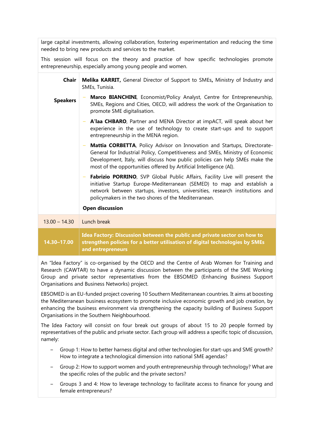large capital investments, allowing collaboration, fostering experimentation and reducing the time needed to bring new products and services to the market.

This session will focus on the theory and practice of how specific technologies promote entrepreneurship, especially among young people and women.

| <b>Chair</b>    | Melika KARRIT, General Director of Support to SMEs, Ministry of Industry and<br>SMEs, Tunisia.                                                                                                                                                                                                                 |
|-----------------|----------------------------------------------------------------------------------------------------------------------------------------------------------------------------------------------------------------------------------------------------------------------------------------------------------------|
| <b>Speakers</b> | Marco BIANCHINI, Economist/Policy Analyst, Centre for Entrepreneurship,<br>SMEs, Regions and Cities, OECD, will address the work of the Organisation to<br>promote SME digitalisation.                                                                                                                         |
|                 | - A'laa CHBARO, Partner and MENA Director at impACT, will speak about her<br>experience in the use of technology to create start-ups and to support<br>entrepreneurship in the MENA region.                                                                                                                    |
|                 | Mattia CORBETTA, Policy Advisor on Innovation and Startups, Directorate-<br>General for Industrial Policy, Competitiveness and SMEs, Ministry of Economic<br>Development, Italy, will discuss how public policies can help SMEs make the<br>most of the opportunities offered by Artificial Intelligence (AI). |
|                 | Fabrizio PORRINO, SVP Global Public Affairs, Facility Live will present the<br>initiative Startup Europe-Mediterranean (SEMED) to map and establish a<br>network between startups, investors, universities, research institutions and<br>policymakers in the two shores of the Mediterranean.                  |
|                 | <b>Open discussion</b>                                                                                                                                                                                                                                                                                         |
| $13.00 - 14.30$ | Lunch break                                                                                                                                                                                                                                                                                                    |
| 14.30-17.00     | Idea Factory: Discussion between the public and private sector on how to<br>strengthen policies for a better utilisation of digital technologies by SMEs<br>and entrepreneurs                                                                                                                                  |

An "Idea Factory" is co-organised by the OECD and the Centre of Arab Women for Training and Research (CAWTAR) to have a dynamic discussion between the participants of the SME Working Group and private sector representatives from the EBSOMED (Enhancing Business Support Organisations and Business Networks) project.

EBSOMED is an EU-funded project covering 10 Southern Mediterranean countries. It aims at boosting the Mediterranean business ecosystem to promote inclusive economic growth and job creation, by enhancing the business environment via strengthening the capacity building of Business Support Organisations in the Southern Neighbourhood.

The Idea Factory will consist on four break out groups of about 15 to 20 people formed by representatives of the public and private sector. Each group will address a specific topic of discussion, namely:

- ‒ Group 1: How to better harness digital and other technologies for start-ups and SME growth? How to integrate a technological dimension into national SME agendas?
- ‒ Group 2: How to support women and youth entrepreneurship through technology? What are the specific roles of the public and the private sectors?
- ‒ Groups 3 and 4: How to leverage technology to facilitate access to finance for young and female entrepreneurs?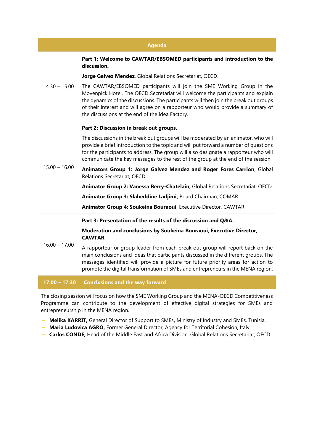| <b>Agenda</b>   |                                                                                                                                                                                                                                                                                                                                                                                          |  |
|-----------------|------------------------------------------------------------------------------------------------------------------------------------------------------------------------------------------------------------------------------------------------------------------------------------------------------------------------------------------------------------------------------------------|--|
| $14.30 - 15.00$ | Part 1: Welcome to CAWTAR/EBSOMED participants and introduction to the<br>discussion.                                                                                                                                                                                                                                                                                                    |  |
|                 | Jorge Galvez Mendez, Global Relations Secretariat, OECD.                                                                                                                                                                                                                                                                                                                                 |  |
|                 | The CAWTAR/EBSOMED participants will join the SME Working Group in the<br>Movenpick Hotel. The OECD Secretariat will welcome the participants and explain<br>the dynamics of the discussions. The participants will then join the break out groups<br>of their interest and will agree on a rapporteur who would provide a summary of<br>the discussions at the end of the Idea Factory. |  |
|                 | Part 2: Discussion in break out groups.                                                                                                                                                                                                                                                                                                                                                  |  |
| $15.00 - 16.00$ | The discussions in the break out groups will be moderated by an animator, who will<br>provide a brief introduction to the topic and will put forward a number of questions<br>for the participants to address. The group will also designate a rapporteur who will<br>communicate the key messages to the rest of the group at the end of the session.                                   |  |
|                 | Animators Group 1: Jorge Galvez Mendez and Roger Fores Carrion, Global<br>Relations Secretariat, OECD.                                                                                                                                                                                                                                                                                   |  |
|                 | Animator Group 2: Vanessa Berry-Chatelain, Global Relations Secretariat, OECD.                                                                                                                                                                                                                                                                                                           |  |
|                 | Animator Group 3: Slaheddine Ladjimi, Board Chairman, COMAR                                                                                                                                                                                                                                                                                                                              |  |
|                 | Animator Group 4: Soukeina Bouraoui, Executive Director, CAWTAR                                                                                                                                                                                                                                                                                                                          |  |
|                 | Part 3: Presentation of the results of the discussion and Q&A.                                                                                                                                                                                                                                                                                                                           |  |
| $16.00 - 17.00$ | Moderation and conclusions by Soukeina Bouraoui, Executive Director,<br><b>CAWTAR</b>                                                                                                                                                                                                                                                                                                    |  |
|                 | A rapporteur or group leader from each break out group will report back on the<br>main conclusions and ideas that participants discussed in the different groups. The<br>messages identified will provide a picture for future priority areas for action to<br>promote the digital transformation of SMEs and entrepreneurs in the MENA region.                                          |  |
| $17.00 - 17.30$ | <b>Conclusions and the way forward</b>                                                                                                                                                                                                                                                                                                                                                   |  |

The closing session will focus on how the SME Working Group and the MENA-OECD Competitiveness Programme can contribute to the development of effective digital strategies for SMEs and entrepreneurship in the MENA region.

- ‒ **Melika KARRIT,** General Director of Support to SMEs**,** Ministry of Industry and SMEs, Tunisia.
- ‒ **Maria Ludovica AGRO,** Former General Director, Agency for Territorial Cohesion, Italy.
- ‒ **Carlos CONDE,** Head of the Middle East and Africa Division, Global Relations Secretariat, OECD.